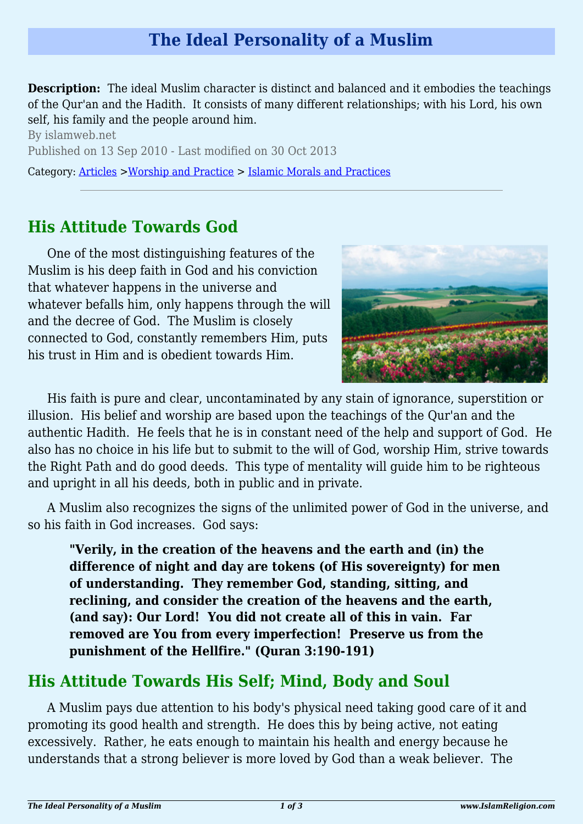# **The Ideal Personality of a Muslim**

**Description:** The ideal Muslim character is distinct and balanced and it embodies the teachings of the Qur'an and the Hadith. It consists of many different relationships; with his Lord, his own self, his family and the people around him.

By islamweb.net Published on 13 Sep 2010 - Last modified on 30 Oct 2013

Category: [Articles](http://www.islamreligion.com/articles/) >[Worship and Practice](http://www.islamreligion.com/category/55/) > [Islamic Morals and Practices](http://www.islamreligion.com/category/58/)

### **His Attitude Towards God**

One of the most distinguishing features of the Muslim is his deep faith in God and his conviction that whatever happens in the universe and whatever befalls him, only happens through the will and the decree of God. The Muslim is closely connected to God, constantly remembers Him, puts his trust in Him and is obedient towards Him.



His faith is pure and clear, uncontaminated by any stain of ignorance, superstition or illusion. His belief and worship are based upon the teachings of the Qur'an and the authentic Hadith. He feels that he is in constant need of the help and support of God. He also has no choice in his life but to submit to the will of God, worship Him, strive towards the Right Path and do good deeds. This type of mentality will guide him to be righteous and upright in all his deeds, both in public and in private.

A Muslim also recognizes the signs of the unlimited power of God in the universe, and so his faith in God increases. God says:

**"Verily, in the creation of the heavens and the earth and (in) the difference of night and day are tokens (of His sovereignty) for men of understanding. They remember God, standing, sitting, and reclining, and consider the creation of the heavens and the earth, (and say): Our Lord! You did not create all of this in vain. Far removed are You from every imperfection! Preserve us from the punishment of the Hellfire." (Quran 3:190-191)**

# **His Attitude Towards His Self; Mind, Body and Soul**

A Muslim pays due attention to his body's physical need taking good care of it and promoting its good health and strength. He does this by being active, not eating excessively. Rather, he eats enough to maintain his health and energy because he understands that a strong believer is more loved by God than a weak believer. The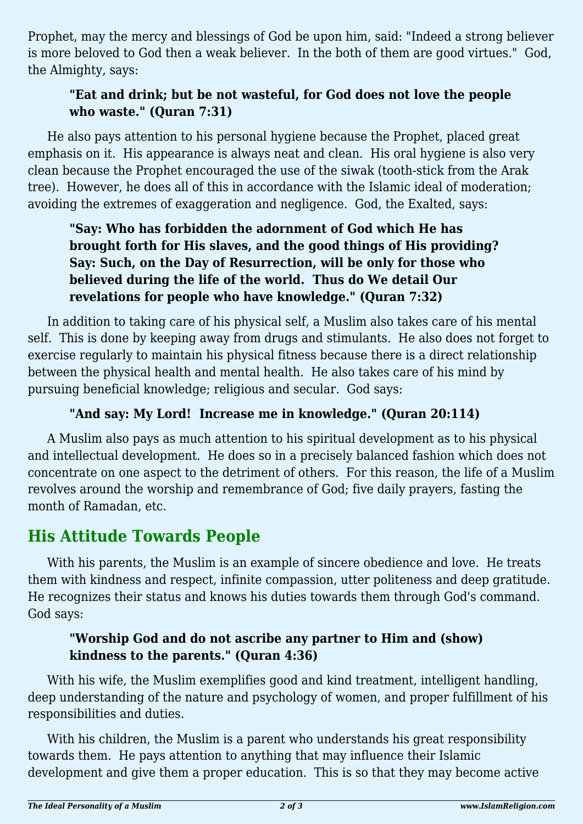Prophet, may the mercy and blessings of God be upon him, said: "Indeed a strong believer is more beloved to God then a weak believer. In the both of them are good virtues." God, the Almighty, says:

### **"Eat and drink; but be not wasteful, for God does not love the people who waste." (Quran 7:31)**

He also pays attention to his personal hygiene because the Prophet, placed great emphasis on it. His appearance is always neat and clean. His oral hygiene is also very clean because the Prophet encouraged the use of the siwak (tooth-stick from the Arak tree). However, he does all of this in accordance with the Islamic ideal of moderation; avoiding the extremes of exaggeration and negligence. God, the Exalted, says:

#### **"Say: Who has forbidden the adornment of God which He has brought forth for His slaves, and the good things of His providing? Say: Such, on the Day of Resurrection, will be only for those who believed during the life of the world. Thus do We detail Our revelations for people who have knowledge." (Quran 7:32)**

In addition to taking care of his physical self, a Muslim also takes care of his mental self. This is done by keeping away from drugs and stimulants. He also does not forget to exercise regularly to maintain his physical fitness because there is a direct relationship between the physical health and mental health. He also takes care of his mind by pursuing beneficial knowledge; religious and secular. God says:

#### **"And say: My Lord! Increase me in knowledge." (Quran 20:114)**

A Muslim also pays as much attention to his spiritual development as to his physical and intellectual development. He does so in a precisely balanced fashion which does not concentrate on one aspect to the detriment of others. For this reason, the life of a Muslim revolves around the worship and remembrance of God; five daily prayers, fasting the month of Ramadan, etc.

### **His Attitude Towards People**

With his parents, the Muslim is an example of sincere obedience and love. He treats them with kindness and respect, infinite compassion, utter politeness and deep gratitude. He recognizes their status and knows his duties towards them through God's command. God says:

#### **"Worship God and do not ascribe any partner to Him and (show) kindness to the parents." (Quran 4:36)**

With his wife, the Muslim exemplifies good and kind treatment, intelligent handling, deep understanding of the nature and psychology of women, and proper fulfillment of his responsibilities and duties.

With his children, the Muslim is a parent who understands his great responsibility towards them. He pays attention to anything that may influence their Islamic development and give them a proper education. This is so that they may become active